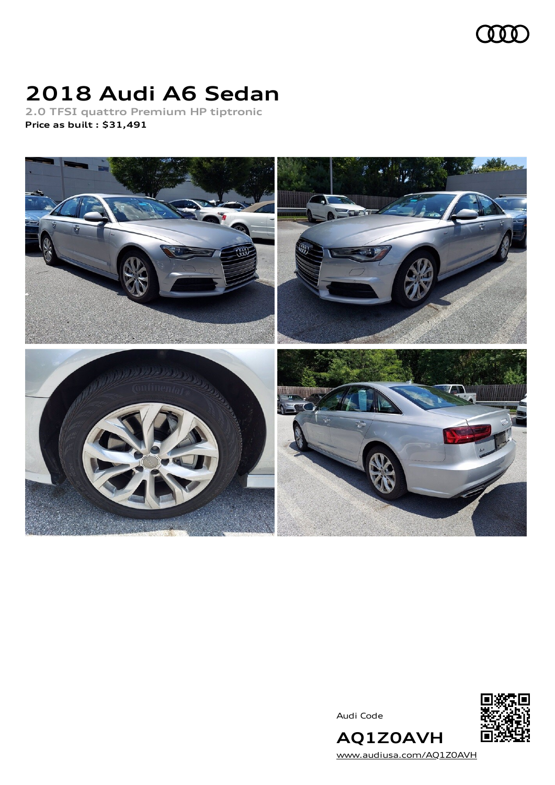

# **2018 Audi A6 Sedan**

**2.0 TFSI quattro Premium HP tiptronic Price as built [:](#page-10-0) \$31,491**



Audi Code



**AQ1Z0AVH** [www.audiusa.com/AQ1Z0AVH](https://www.audiusa.com/AQ1Z0AVH)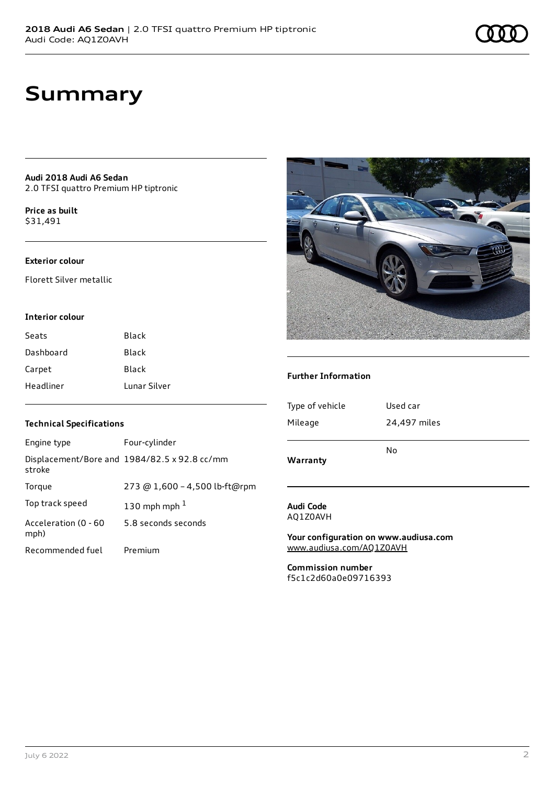# **Summary**

**Audi 2018 Audi A6 Sedan** 2.0 TFSI quattro Premium HP tiptronic

**Price as buil[t](#page-10-0)** \$31,491

### **Exterior colour**

Florett Silver metallic

#### **Interior colour**

| Seats     | <b>Black</b> |
|-----------|--------------|
| Dashboard | <b>Black</b> |
| Carpet    | <b>Black</b> |
| Headliner | Lunar Silver |

### **Technical Specifications**

| Engine type                  | Four-cylinder                                |
|------------------------------|----------------------------------------------|
| stroke                       | Displacement/Bore and 1984/82.5 x 92.8 cc/mm |
| Torque                       | 273 @ 1,600 - 4,500 lb-ft@rpm                |
| Top track speed              | 130 mph mph $1$                              |
| Acceleration (0 - 60<br>mph) | 5.8 seconds seconds                          |
| Recommended fuel             | Premium                                      |



#### **Further Information**

| Warranty        |              |
|-----------------|--------------|
|                 | No           |
| Mileage         | 24,497 miles |
| Type of vehicle | Used car     |
|                 |              |

#### **Audi Code** AQ1Z0AVH

**Your configuration on www.audiusa.com** [www.audiusa.com/AQ1Z0AVH](https://www.audiusa.com/AQ1Z0AVH)

**Commission number** f5c1c2d60a0e09716393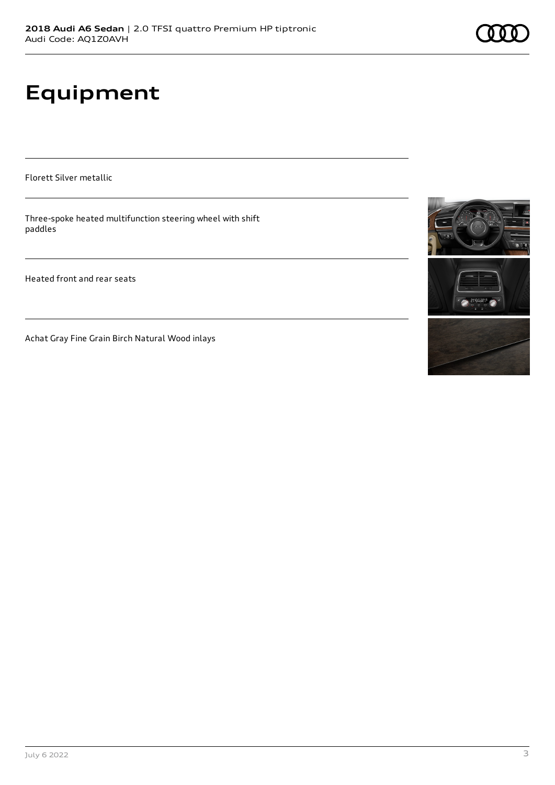# **Equipment**

Florett Silver metallic

Three-spoke heated multifunction steering wheel with shift paddles

Heated front and rear seats

Achat Gray Fine Grain Birch Natural Wood inlays

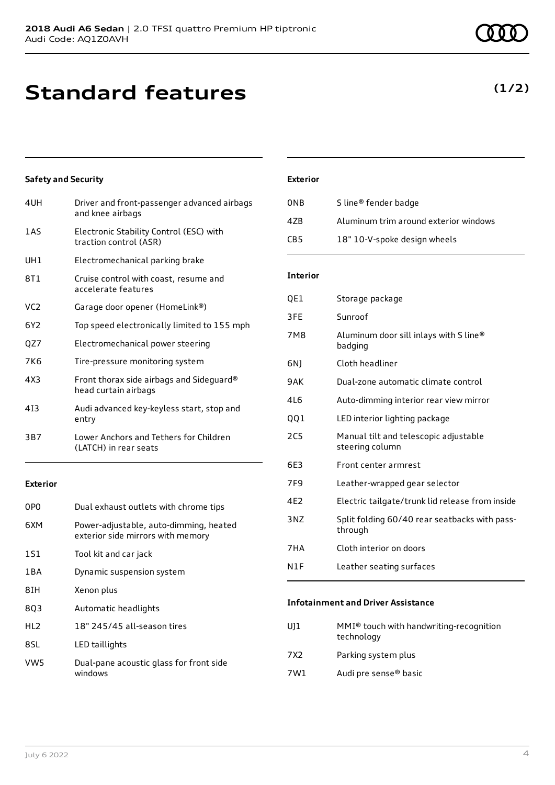# **Standard features**

4UH Driver and front-passenger advanced airbags

### UH1 Electromechanical parking brake

**Safety and Security**

8T1 Cruise control with coast, resume and accelerate features

1AS Electronic Stability Control (ESC) with traction control (ASR)

and knee airbags

- VC2 Garage door opener (HomeLink®)
- 6Y2 Top speed electronically limited to 155 mph
- QZ7 Electromechanical power steering
- 7K6 Tire-pressure monitoring system
- 4X3 Front thorax side airbags and Sideguard® head curtain airbags
- 4I3 Audi advanced key-keyless start, stop and entry
- 3B7 Lower Anchors and Tethers for Children (LATCH) in rear seats

#### **Exterior**

| 0P <sub>0</sub> | Dual exhaust outlets with chrome tips                                       |
|-----------------|-----------------------------------------------------------------------------|
| 6XM             | Power-adjustable, auto-dimming, heated<br>exterior side mirrors with memory |
| 1S1             | Tool kit and car jack                                                       |
| 1 B A           | Dynamic suspension system                                                   |
| 8IH             | Xenon plus                                                                  |
| 803             | Automatic headlights                                                        |
| HL <sub>2</sub> | 18" 245/45 all-season tires                                                 |
| 8SL             | LED taillights                                                              |
| VW5             | Dual-pane acoustic glass for front side<br>windows                          |

#### **Exterior**

| 0NB | S line <sup>®</sup> fender badge      |
|-----|---------------------------------------|
| 47B | Aluminum trim around exterior windows |
| CB5 | 18" 10-V-spoke design wheels          |

#### **Interior**

| QE1        | Storage package                                          |
|------------|----------------------------------------------------------|
| 3FE        | Sunroof                                                  |
| 7M8        | Aluminum door sill inlays with S line®<br>badging        |
| 6N)        | Cloth headliner                                          |
| 9AK        | Dual-zone automatic climate control                      |
| 4L6        | Auto-dimming interior rear view mirror                   |
| QQ1        | LED interior lighting package                            |
| <b>2C5</b> | Manual tilt and telescopic adjustable<br>steering column |
| 6E3        | Front center armrest                                     |
| 7F9        | Leather-wrapped gear selector                            |
| 4E2        | Electric tailgate/trunk lid release from inside          |
| 3NZ        | Split folding 60/40 rear seatbacks with pass-<br>through |
| 7HA        | Cloth interior on doors                                  |
| N1F        | Leather seating surfaces                                 |
|            |                                                          |

#### **Infotainment and Driver Assistance**

- UJ1 MMI® touch with handwriting-recognition technology
- 7X2 Parking system plus
- 7W1 Audi pre sense® basic

## **(1/2)**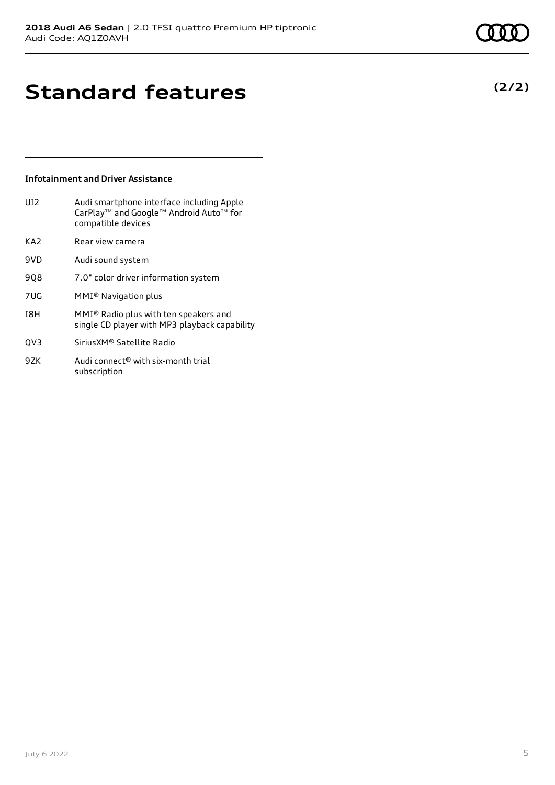**(2/2)**

# **Standard features**

### **Infotainment and Driver Assistance**

| UI2. | Audi smartphone interface including Apple          |
|------|----------------------------------------------------|
|      | CarPlay <sup>™</sup> and Google™ Android Auto™ for |
|      | compatible devices                                 |
|      |                                                    |

- KA2 Rear view camera
- 9VD Audi sound system
- 9Q8 7.0" color driver information system
- 7UG MMI® Navigation plus
- I8H MMI® Radio plus with ten speakers and single CD player with MP3 playback capability
- QV3 SiriusXM® Satellite Radio
- 9ZK Audi connect<sup>®</sup> with six-month trial subscription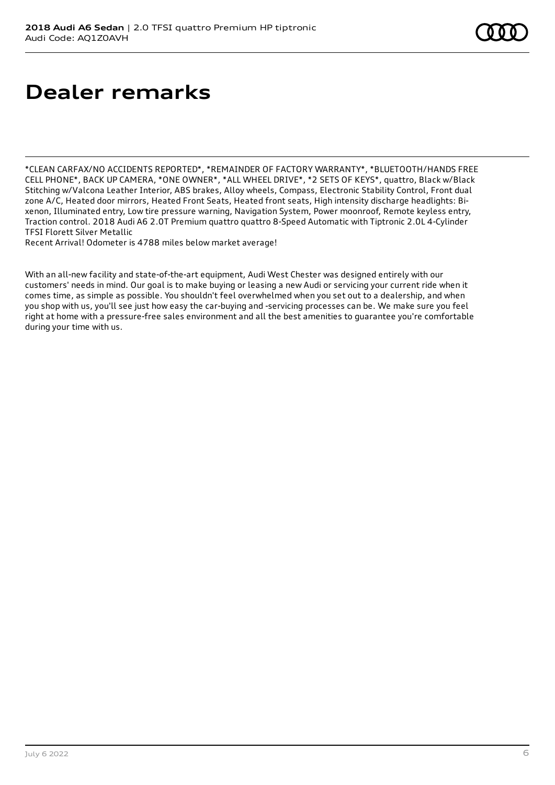# **Dealer remarks**

\*CLEAN CARFAX/NO ACCIDENTS REPORTED\*, \*REMAINDER OF FACTORY WARRANTY\*, \*BLUETOOTH/HANDS FREE CELL PHONE\*, BACK UP CAMERA, \*ONE OWNER\*, \*ALL WHEEL DRIVE\*, \*2 SETS OF KEYS\*, quattro, Black w/Black Stitching w/Valcona Leather Interior, ABS brakes, Alloy wheels, Compass, Electronic Stability Control, Front dual zone A/C, Heated door mirrors, Heated Front Seats, Heated front seats, High intensity discharge headlights: Bixenon, Illuminated entry, Low tire pressure warning, Navigation System, Power moonroof, Remote keyless entry, Traction control. 2018 Audi A6 2.0T Premium quattro quattro 8-Speed Automatic with Tiptronic 2.0L 4-Cylinder TFSI Florett Silver Metallic

Recent Arrival! Odometer is 4788 miles below market average!

With an all-new facility and state-of-the-art equipment, Audi West Chester was designed entirely with our customers' needs in mind. Our goal is to make buying or leasing a new Audi or servicing your current ride when it comes time, as simple as possible. You shouldn't feel overwhelmed when you set out to a dealership, and when you shop with us, you'll see just how easy the car-buying and -servicing processes can be. We make sure you feel right at home with a pressure-free sales environment and all the best amenities to guarantee you're comfortable during your time with us.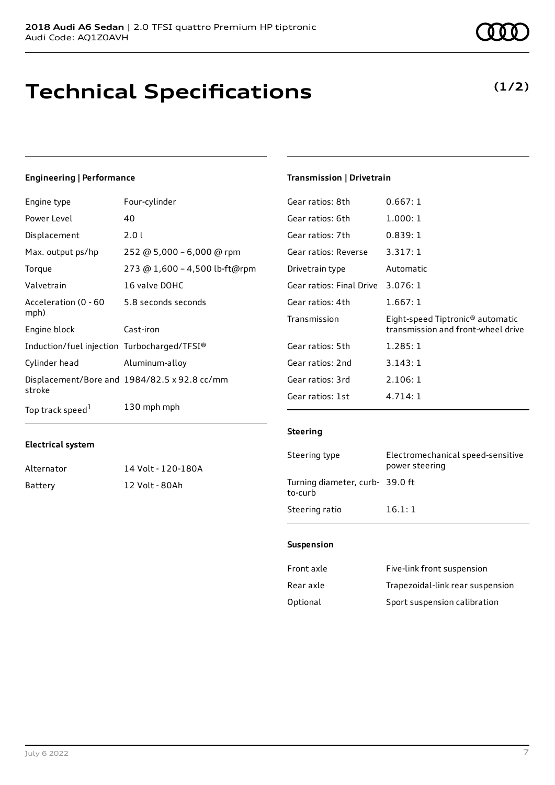# **Technical Specifications**

#### July 6 2022 7

## **Engineering | Performance**

**Electrical system**

| Engine type                                 | Four-cylinder                                |
|---------------------------------------------|----------------------------------------------|
| Power Level                                 | 40                                           |
| Displacement                                | 2.01                                         |
| Max. output ps/hp                           | 252 @ 5,000 - 6,000 @ rpm                    |
| Torque                                      | 273 @ 1,600 - 4,500 lb-ft@rpm                |
| Valvetrain                                  | 16 valve DOHC                                |
| Acceleration (0 - 60<br>mph)                | 5.8 seconds seconds                          |
| Engine block                                | Cast-iron                                    |
| Induction/fuel injection Turbocharged/TFSI® |                                              |
| Cylinder head                               | Aluminum-alloy                               |
| stroke                                      | Displacement/Bore and 1984/82.5 x 92.8 cc/mm |
| Top track speed <sup>1</sup>                | 130 mph mph                                  |

Alternator 14 Volt - 120-180A

Battery 12 Volt - 80Ah

## atios: 8th  $0.667:1$

**Transmission | Drivetrain**

| Gear ratios: 8th                  | 0.667:1                                                                            |
|-----------------------------------|------------------------------------------------------------------------------------|
| Gear ratios: 6th                  | 1.000:1                                                                            |
| Gear ratios: 7th                  | 0.839:1                                                                            |
| Gear ratios: Reverse              | 3.317:1                                                                            |
| Drivetrain type                   | Automatic                                                                          |
| Gear ratios: Final Drive 3.076: 1 |                                                                                    |
| Gear ratios: 4th                  | 1.667:1                                                                            |
| Transmission                      | Eight-speed Tiptronic <sup>®</sup> automatic<br>transmission and front-wheel drive |
| Gear ratios: 5th                  | 1.285:1                                                                            |
| Gear ratios: 2nd                  | 3.143:1                                                                            |
| Gear ratios: 3rd                  | 2.106:1                                                                            |
| Gear ratios: 1st                  | 4.714:1                                                                            |

#### **Steering**

| Steering type                             | Electromechanical speed-sensitive<br>power steering |
|-------------------------------------------|-----------------------------------------------------|
| Turning diameter, curb-39.0 ft<br>to-curb |                                                     |
| Steering ratio                            | 16.1:1                                              |

### **Suspension**

| Front axle | Five-link front suspension       |
|------------|----------------------------------|
| Rear axle  | Trapezoidal-link rear suspension |
| Optional   | Sport suspension calibration     |

# **(1/2)**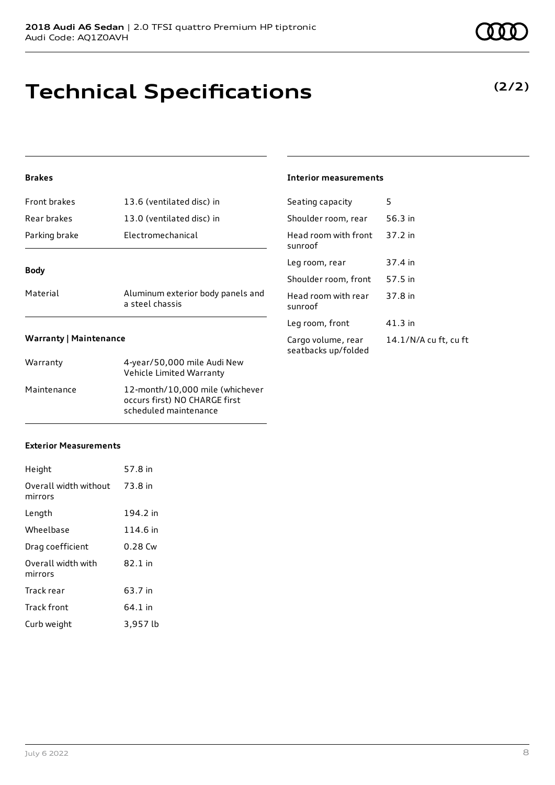# **Technical Specifications**

### **Brakes**

| Material      | Aluminum exterior body panels and |
|---------------|-----------------------------------|
| <b>Body</b>   |                                   |
| Parking brake | Electromechanical                 |
| Rear brakes   | 13.0 (ventilated disc) in         |
| Front brakes  | 13.6 (ventilated disc) in         |

a steel chassis

## **Interior measurements**

| Seating capacity                          | 5                     |
|-------------------------------------------|-----------------------|
| Shoulder room, rear                       | 56.3 in               |
| Head room with front<br>sunroof           | 37.2 in               |
| Leg room, rear                            | 37.4 in               |
| Shoulder room, front                      | 57.5 in               |
| Head room with rear<br>sunroof            | 37.8 in               |
| Leg room, front                           | $41.3$ in             |
| Cargo volume, rear<br>seatbacks up/folded | 14.1/N/A cu ft, cu ft |

#### **Warranty | Maintenance**

| Warranty    | 4-year/50,000 mile Audi New<br>Vehicle Limited Warranty                                   |
|-------------|-------------------------------------------------------------------------------------------|
| Maintenance | 12-month/10,000 mile (whichever<br>occurs first) NO CHARGE first<br>scheduled maintenance |

### **Exterior Measurements**

| Height                           | 57.8 in  |
|----------------------------------|----------|
| Overall width without<br>mirrors | 73.8 in  |
| Length                           | 194.2 in |
| Wheelbase                        | 114.6 in |
| Drag coefficient                 | 0.28 Cw  |
| Overall width with<br>mirrors    | 82.1 in  |
| Track rear                       | 63.7 in  |
| <b>Track front</b>               | 64.1 in  |
| Curb weight                      | 3,957 lb |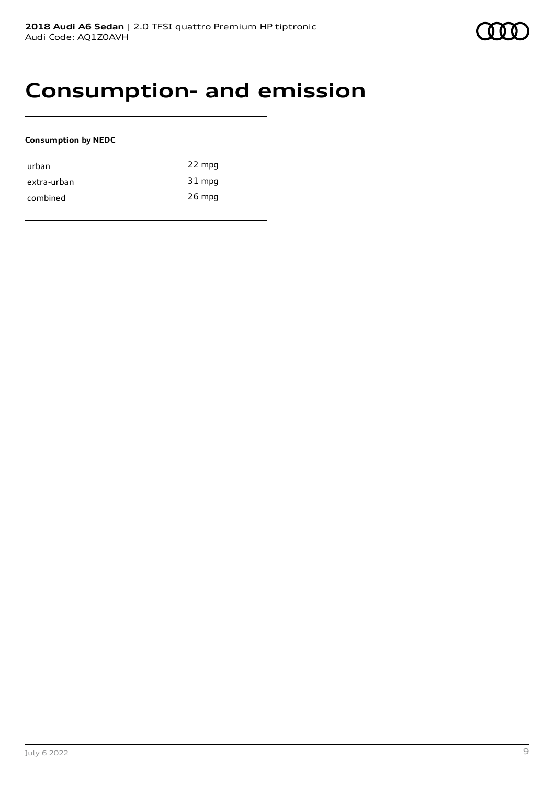# **Consumption- and emission**

### **Consumption by NEDC**

| urban       | 22 mpg   |
|-------------|----------|
| extra-urban | 31 mpg   |
| combined    | $26$ mpg |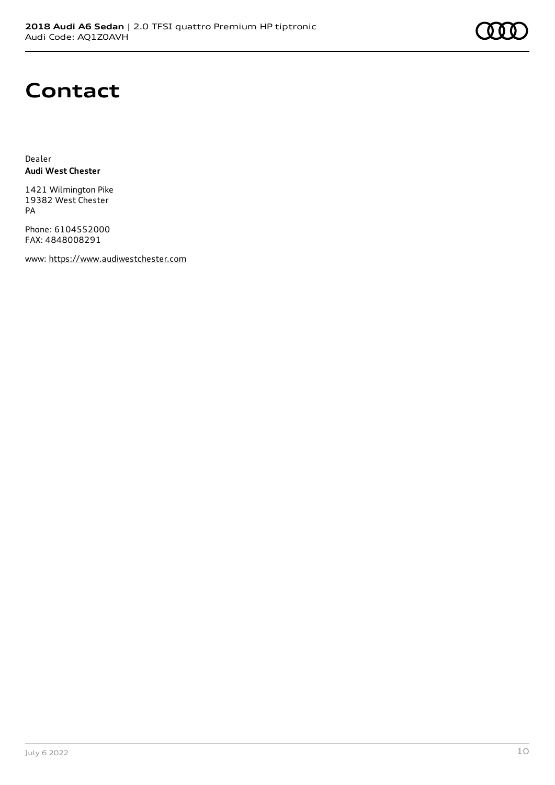# **Contact**

Dealer **Audi West Chester**

1421 Wilmington Pike 19382 West Chester PA

Phone: 6104552000 FAX: 4848008291

www: [https://www.audiwestchester.com](https://www.audiwestchester.com/)